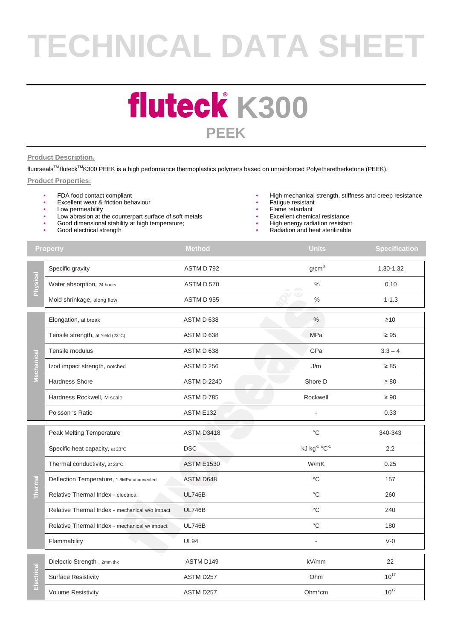# **TECHNICAL DATA SHEET**

### **fluteck K300 PEEK**

#### **Product Description.**

fluorseals™ fluteck<sup>™</sup>K300 PEEK is a high performance thermoplastics polymers based on unreinforced Polyetheretherketone (PEEK).

#### **Product Properties:**

- FDA food contact compliant
- Excellent wear & friction behaviour
- Low permeability
- Low abrasion at the counterpart surface of soft metals
- Good dimensional stability at high temperature;
- Good electrical strength
- High mechanical strength, stiffness and creep resistance
- Fatigue resistant
- Flame retardant
- Excellent chemical resistance
- High energy radiation resistant
- Radiation and heat sterilizable

| <b>Property</b> |                                                | <b>Method</b>      | <b>Units</b>      | <b>Specification</b> |
|-----------------|------------------------------------------------|--------------------|-------------------|----------------------|
| Physical        | Specific gravity                               | ASTM D 792         | g/cm <sup>3</sup> | 1,30-1.32            |
|                 | Water absorption, 24 hours                     | ASTM D 570         | $\frac{0}{0}$     | 0,10                 |
|                 | Mold shrinkage, along flow                     | ASTM D 955         | $\%$              | $1 - 1.3$            |
| Mechanical      | Elongation, at break                           | ASTM D 638         | $\%$              | $\geq 10$            |
|                 | Tensile strength, at Yield (23°C)              | ASTM D 638         | MPa               | $\geq 95$            |
|                 | Tensile modulus                                | ASTM D 638         | GPa               | $3.3 - 4$            |
|                 | Izod impact strength, notched                  | ASTM D 256         | J/m               | $\geq 85$            |
|                 | <b>Hardness Shore</b>                          | <b>ASTM D 2240</b> | Shore D           | $\geq 80$            |
|                 | Hardness Rockwell, M scale                     | ASTM D 785         | Rockwell          | $\geq 90$            |
|                 | Poisson 's Ratio                               | ASTM E132          |                   | 0.33                 |
| <b>Thermal</b>  | Peak Melting Temperature                       | <b>ASTM D3418</b>  | $^{\circ}$ C      | 340-343              |
|                 | Specific heat capacity, at 23°C                | <b>DSC</b>         | kJ kg-1 °C-1      | 2.2                  |
|                 | Thermal conductivity, at 23°C                  | <b>ASTM E1530</b>  | W/mK              | 0.25                 |
|                 | Deflection Temperature, 1.8MPa unannealed      | <b>ASTM D648</b>   | $^{\circ}C$       | 157                  |
|                 | Relative Thermal Index - electrical            | <b>UL746B</b>      | $^{\circ}C$       | 260                  |
|                 | Relative Thermal Index - mechanical w/o impact | <b>UL746B</b>      | $^{\circ}C$       | 240                  |
|                 | Relative Thermal Index - mechanical w/impact   | <b>UL746B</b>      | $^{\circ}C$       | 180                  |
|                 | Flammability                                   | <b>UL94</b>        | ä,                | $V-0$                |
| Electrical      | Dielectic Strength, 2mm thk                    | ASTM D149          | kV/mm             | 22                   |
|                 | <b>Surface Resistivity</b>                     | ASTM D257          | Ohm               | $10^{17}$            |
|                 | <b>Volume Resistivity</b>                      | ASTM D257          | Ohm*cm            | $10^{17}$            |